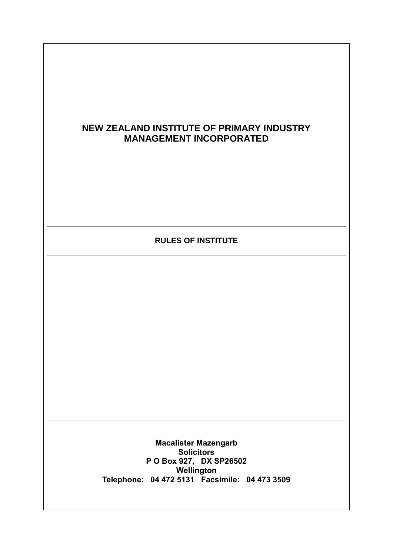# **NEW ZEALAND INSTITUTE OF PRIMARY INDUSTRY MANAGEMENT INCORPORATED**

## **RULES OF INSTITUTE**

**Macalister Mazengarb Solicitors P O Box 927, DX SP26502 Wellington Telephone: 04 472 5131 Facsimile: 04 473 3509**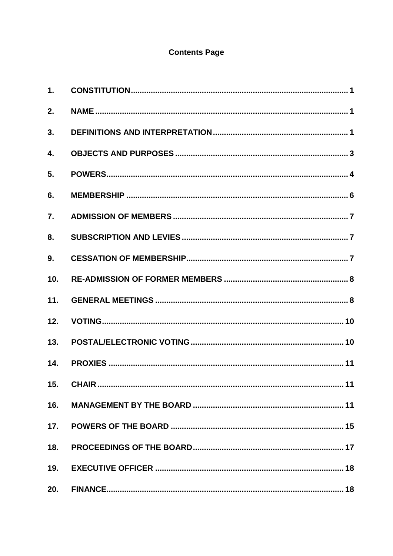# **Contents Page**

| 1.               |  |
|------------------|--|
| 2.               |  |
| 3.               |  |
| 4.               |  |
| 5.               |  |
| 6.               |  |
| $\overline{7}$ . |  |
| 8.               |  |
| 9.               |  |
| 10.              |  |
| 11.              |  |
| 12.              |  |
| 13.              |  |
| 14.              |  |
| 15.              |  |
| 16.              |  |
| 17.              |  |
| 18.              |  |
| 19.              |  |
| 20.              |  |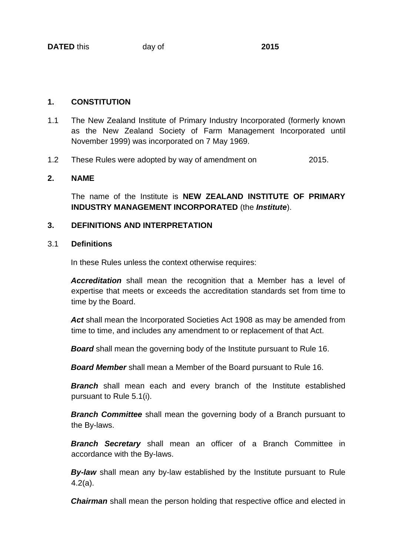#### **1. CONSTITUTION**

- 1.1 The New Zealand Institute of Primary Industry Incorporated (formerly known as the New Zealand Society of Farm Management Incorporated until November 1999) was incorporated on 7 May 1969.
- 1.2 These Rules were adopted by way of amendment on 2015.

## **2. NAME**

The name of the Institute is **NEW ZEALAND INSTITUTE OF PRIMARY INDUSTRY MANAGEMENT INCORPORATED** (the *Institute*).

#### **3. DEFINITIONS AND INTERPRETATION**

#### 3.1 **Definitions**

In these Rules unless the context otherwise requires:

*Accreditation* shall mean the recognition that a Member has a level of expertise that meets or exceeds the accreditation standards set from time to time by the Board.

Act shall mean the Incorporated Societies Act 1908 as may be amended from time to time, and includes any amendment to or replacement of that Act.

*Board* shall mean the governing body of the Institute pursuant to Rule 16.

*Board Member* shall mean a Member of the Board pursuant to Rule 16.

**Branch** shall mean each and every branch of the Institute established pursuant to Rule 5.1(i).

*Branch Committee* shall mean the governing body of a Branch pursuant to the By-laws.

*Branch Secretary* shall mean an officer of a Branch Committee in accordance with the By-laws.

**By-law** shall mean any by-law established by the Institute pursuant to Rule 4.2(a).

**Chairman** shall mean the person holding that respective office and elected in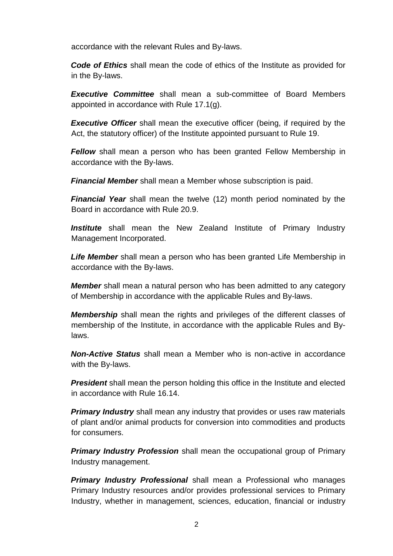accordance with the relevant Rules and By-laws.

*Code of Ethics* shall mean the code of ethics of the Institute as provided for in the By-laws.

*Executive Committee* shall mean a sub-committee of Board Members appointed in accordance with Rule 17.1(g).

**Executive Officer** shall mean the executive officer (being, if required by the Act, the statutory officer) of the Institute appointed pursuant to Rule 19.

*Fellow* shall mean a person who has been granted Fellow Membership in accordance with the By-laws.

*Financial Member* shall mean a Member whose subscription is paid.

*Financial Year* shall mean the twelve (12) month period nominated by the Board in accordance with Rule 20.9.

**Institute** shall mean the New Zealand Institute of Primary Industry Management Incorporated.

*Life Member* shall mean a person who has been granted Life Membership in accordance with the By-laws.

*Member* shall mean a natural person who has been admitted to any category of Membership in accordance with the applicable Rules and By-laws.

*Membership* shall mean the rights and privileges of the different classes of membership of the Institute, in accordance with the applicable Rules and Bylaws.

*Non-Active Status* shall mean a Member who is non-active in accordance with the By-laws.

**President** shall mean the person holding this office in the Institute and elected in accordance with Rule 16.14.

**Primary Industry** shall mean any industry that provides or uses raw materials of plant and/or animal products for conversion into commodities and products for consumers.

*Primary Industry Profession shall mean the occupational group of Primary* Industry management.

*Primary Industry Professional* shall mean a Professional who manages Primary Industry resources and/or provides professional services to Primary Industry, whether in management, sciences, education, financial or industry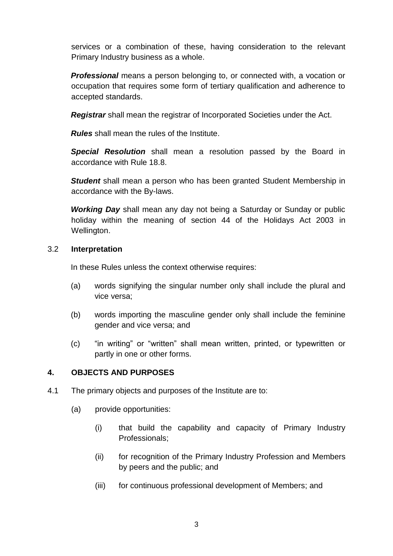services or a combination of these, having consideration to the relevant Primary Industry business as a whole.

**Professional** means a person belonging to, or connected with, a vocation or occupation that requires some form of tertiary qualification and adherence to accepted standards.

*Registrar* shall mean the registrar of Incorporated Societies under the Act.

*Rules* shall mean the rules of the Institute.

*Special Resolution* shall mean a resolution passed by the Board in accordance with Rule 18.8.

*Student* shall mean a person who has been granted Student Membership in accordance with the By-laws.

*Working Day* shall mean any day not being a Saturday or Sunday or public holiday within the meaning of section 44 of the Holidays Act 2003 in Wellington.

#### 3.2 **Interpretation**

In these Rules unless the context otherwise requires:

- (a) words signifying the singular number only shall include the plural and vice versa;
- (b) words importing the masculine gender only shall include the feminine gender and vice versa; and
- (c) "in writing" or "written" shall mean written, printed, or typewritten or partly in one or other forms.

## **4. OBJECTS AND PURPOSES**

- 4.1 The primary objects and purposes of the Institute are to:
	- (a) provide opportunities:
		- (i) that build the capability and capacity of Primary Industry Professionals;
		- (ii) for recognition of the Primary Industry Profession and Members by peers and the public; and
		- (iii) for continuous professional development of Members; and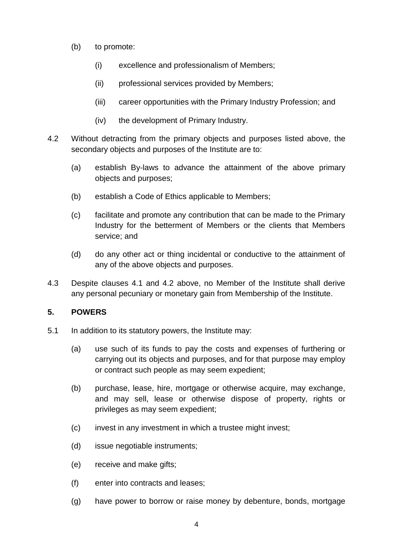- (b) to promote:
	- (i) excellence and professionalism of Members;
	- (ii) professional services provided by Members;
	- (iii) career opportunities with the Primary Industry Profession; and
	- (iv) the development of Primary Industry.
- 4.2 Without detracting from the primary objects and purposes listed above, the secondary objects and purposes of the Institute are to:
	- (a) establish By-laws to advance the attainment of the above primary objects and purposes;
	- (b) establish a Code of Ethics applicable to Members;
	- (c) facilitate and promote any contribution that can be made to the Primary Industry for the betterment of Members or the clients that Members service; and
	- (d) do any other act or thing incidental or conductive to the attainment of any of the above objects and purposes.
- 4.3 Despite clauses 4.1 and 4.2 above, no Member of the Institute shall derive any personal pecuniary or monetary gain from Membership of the Institute.

## **5. POWERS**

- 5.1 In addition to its statutory powers, the Institute may:
	- (a) use such of its funds to pay the costs and expenses of furthering or carrying out its objects and purposes, and for that purpose may employ or contract such people as may seem expedient;
	- (b) purchase, lease, hire, mortgage or otherwise acquire, may exchange, and may sell, lease or otherwise dispose of property, rights or privileges as may seem expedient;
	- (c) invest in any investment in which a trustee might invest;
	- (d) issue negotiable instruments;
	- (e) receive and make gifts;
	- (f) enter into contracts and leases;
	- (g) have power to borrow or raise money by debenture, bonds, mortgage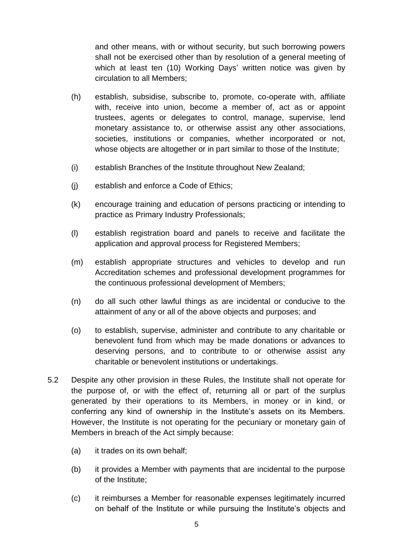and other means, with or without security, but such borrowing powers shall not be exercised other than by resolution of a general meeting of which at least ten (10) Working Days' written notice was given by circulation to all Members;

- (h) establish, subsidise, subscribe to, promote, co-operate with, affiliate with, receive into union, become a member of, act as or appoint trustees, agents or delegates to control, manage, supervise, lend monetary assistance to, or otherwise assist any other associations, societies, institutions or companies, whether incorporated or not, whose objects are altogether or in part similar to those of the Institute;
- (i) establish Branches of the Institute throughout New Zealand;
- (j) establish and enforce a Code of Ethics;
- (k) encourage training and education of persons practicing or intending to practice as Primary Industry Professionals;
- (l) establish registration board and panels to receive and facilitate the application and approval process for Registered Members;
- (m) establish appropriate structures and vehicles to develop and run Accreditation schemes and professional development programmes for the continuous professional development of Members;
- (n) do all such other lawful things as are incidental or conducive to the attainment of any or all of the above objects and purposes; and
- (o) to establish, supervise, administer and contribute to any charitable or benevolent fund from which may be made donations or advances to deserving persons, and to contribute to or otherwise assist any charitable or benevolent institutions or undertakings.
- 5.2 Despite any other provision in these Rules, the Institute shall not operate for the purpose of, or with the effect of, returning all or part of the surplus generated by their operations to its Members, in money or in kind, or conferring any kind of ownership in the Institute's assets on its Members. However, the Institute is not operating for the pecuniary or monetary gain of Members in breach of the Act simply because:
	- (a) it trades on its own behalf;
	- (b) it provides a Member with payments that are incidental to the purpose of the Institute;
	- (c) it reimburses a Member for reasonable expenses legitimately incurred on behalf of the Institute or while pursuing the Institute's objects and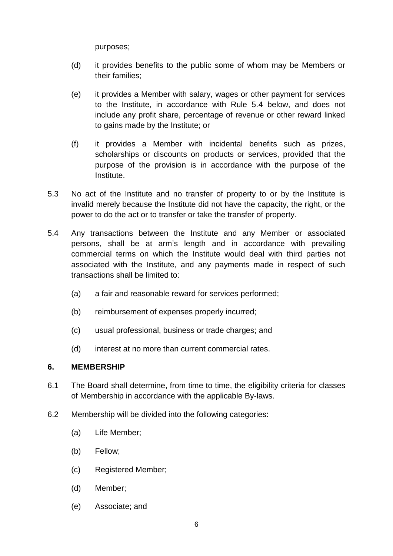purposes;

- (d) it provides benefits to the public some of whom may be Members or their families;
- (e) it provides a Member with salary, wages or other payment for services to the Institute, in accordance with Rule 5.4 below, and does not include any profit share, percentage of revenue or other reward linked to gains made by the Institute; or
- (f) it provides a Member with incidental benefits such as prizes, scholarships or discounts on products or services, provided that the purpose of the provision is in accordance with the purpose of the Institute.
- 5.3 No act of the Institute and no transfer of property to or by the Institute is invalid merely because the Institute did not have the capacity, the right, or the power to do the act or to transfer or take the transfer of property.
- 5.4 Any transactions between the Institute and any Member or associated persons, shall be at arm's length and in accordance with prevailing commercial terms on which the Institute would deal with third parties not associated with the Institute, and any payments made in respect of such transactions shall be limited to:
	- (a) a fair and reasonable reward for services performed;
	- (b) reimbursement of expenses properly incurred;
	- (c) usual professional, business or trade charges; and
	- (d) interest at no more than current commercial rates.

## **6. MEMBERSHIP**

- 6.1 The Board shall determine, from time to time, the eligibility criteria for classes of Membership in accordance with the applicable By-laws.
- 6.2 Membership will be divided into the following categories:
	- (a) Life Member;
	- (b) Fellow;
	- (c) Registered Member;
	- (d) Member;
	- (e) Associate; and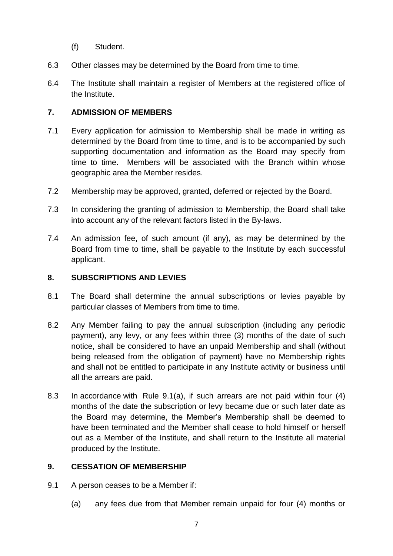- (f) Student.
- 6.3 Other classes may be determined by the Board from time to time.
- 6.4 The Institute shall maintain a register of Members at the registered office of the Institute.

#### **7. ADMISSION OF MEMBERS**

- 7.1 Every application for admission to Membership shall be made in writing as determined by the Board from time to time, and is to be accompanied by such supporting documentation and information as the Board may specify from time to time. Members will be associated with the Branch within whose geographic area the Member resides.
- 7.2 Membership may be approved, granted, deferred or rejected by the Board.
- 7.3 In considering the granting of admission to Membership, the Board shall take into account any of the relevant factors listed in the By-laws.
- 7.4 An admission fee, of such amount (if any), as may be determined by the Board from time to time, shall be payable to the Institute by each successful applicant.

#### **8. SUBSCRIPTIONS AND LEVIES**

- 8.1 The Board shall determine the annual subscriptions or levies payable by particular classes of Members from time to time.
- 8.2 Any Member failing to pay the annual subscription (including any periodic payment), any levy, or any fees within three (3) months of the date of such notice, shall be considered to have an unpaid Membership and shall (without being released from the obligation of payment) have no Membership rights and shall not be entitled to participate in any Institute activity or business until all the arrears are paid.
- 8.3 In accordance with Rule 9.1(a), if such arrears are not paid within four (4) months of the date the subscription or levy became due or such later date as the Board may determine, the Member's Membership shall be deemed to have been terminated and the Member shall cease to hold himself or herself out as a Member of the Institute, and shall return to the Institute all material produced by the Institute.

#### **9. CESSATION OF MEMBERSHIP**

- 9.1 A person ceases to be a Member if:
	- (a) any fees due from that Member remain unpaid for four (4) months or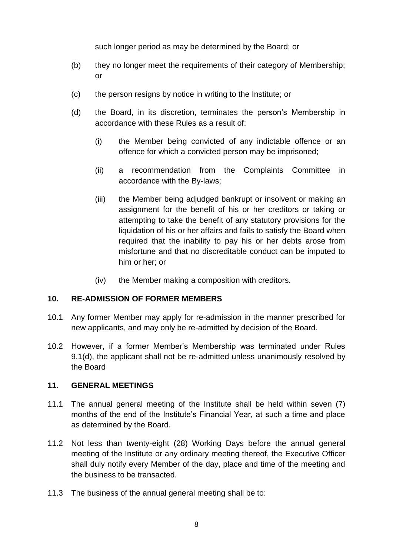such longer period as may be determined by the Board; or

- (b) they no longer meet the requirements of their category of Membership; or
- (c) the person resigns by notice in writing to the Institute; or
- (d) the Board, in its discretion, terminates the person's Membership in accordance with these Rules as a result of:
	- (i) the Member being convicted of any indictable offence or an offence for which a convicted person may be imprisoned;
	- (ii) a recommendation from the Complaints Committee in accordance with the By-laws;
	- (iii) the Member being adjudged bankrupt or insolvent or making an assignment for the benefit of his or her creditors or taking or attempting to take the benefit of any statutory provisions for the liquidation of his or her affairs and fails to satisfy the Board when required that the inability to pay his or her debts arose from misfortune and that no discreditable conduct can be imputed to him or her; or
	- (iv) the Member making a composition with creditors.

#### **10. RE-ADMISSION OF FORMER MEMBERS**

- 10.1 Any former Member may apply for re-admission in the manner prescribed for new applicants, and may only be re-admitted by decision of the Board.
- 10.2 However, if a former Member's Membership was terminated under Rules 9.1(d), the applicant shall not be re-admitted unless unanimously resolved by the Board

#### **11. GENERAL MEETINGS**

- 11.1 The annual general meeting of the Institute shall be held within seven (7) months of the end of the Institute's Financial Year, at such a time and place as determined by the Board.
- 11.2 Not less than twenty-eight (28) Working Days before the annual general meeting of the Institute or any ordinary meeting thereof, the Executive Officer shall duly notify every Member of the day, place and time of the meeting and the business to be transacted.
- 11.3 The business of the annual general meeting shall be to: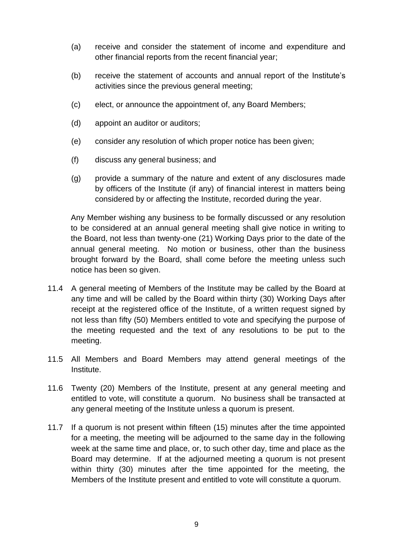- (a) receive and consider the statement of income and expenditure and other financial reports from the recent financial year;
- (b) receive the statement of accounts and annual report of the Institute's activities since the previous general meeting;
- (c) elect, or announce the appointment of, any Board Members;
- (d) appoint an auditor or auditors;
- (e) consider any resolution of which proper notice has been given;
- (f) discuss any general business; and
- (g) provide a summary of the nature and extent of any disclosures made by officers of the Institute (if any) of financial interest in matters being considered by or affecting the Institute, recorded during the year.

Any Member wishing any business to be formally discussed or any resolution to be considered at an annual general meeting shall give notice in writing to the Board, not less than twenty-one (21) Working Days prior to the date of the annual general meeting. No motion or business, other than the business brought forward by the Board, shall come before the meeting unless such notice has been so given.

- 11.4 A general meeting of Members of the Institute may be called by the Board at any time and will be called by the Board within thirty (30) Working Days after receipt at the registered office of the Institute, of a written request signed by not less than fifty (50) Members entitled to vote and specifying the purpose of the meeting requested and the text of any resolutions to be put to the meeting.
- 11.5 All Members and Board Members may attend general meetings of the Institute.
- 11.6 Twenty (20) Members of the Institute, present at any general meeting and entitled to vote, will constitute a quorum. No business shall be transacted at any general meeting of the Institute unless a quorum is present.
- 11.7 If a quorum is not present within fifteen (15) minutes after the time appointed for a meeting, the meeting will be adjourned to the same day in the following week at the same time and place, or, to such other day, time and place as the Board may determine. If at the adjourned meeting a quorum is not present within thirty (30) minutes after the time appointed for the meeting, the Members of the Institute present and entitled to vote will constitute a quorum.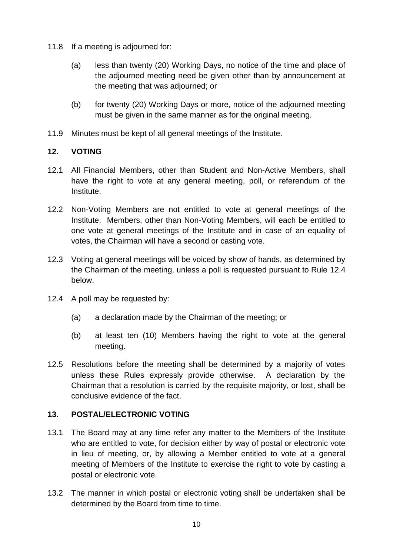- 11.8 If a meeting is adjourned for:
	- (a) less than twenty (20) Working Days, no notice of the time and place of the adjourned meeting need be given other than by announcement at the meeting that was adjourned; or
	- (b) for twenty (20) Working Days or more, notice of the adjourned meeting must be given in the same manner as for the original meeting.
- 11.9 Minutes must be kept of all general meetings of the Institute.

## **12. VOTING**

- 12.1 All Financial Members, other than Student and Non-Active Members, shall have the right to vote at any general meeting, poll, or referendum of the Institute.
- 12.2 Non-Voting Members are not entitled to vote at general meetings of the Institute. Members, other than Non-Voting Members, will each be entitled to one vote at general meetings of the Institute and in case of an equality of votes, the Chairman will have a second or casting vote.
- 12.3 Voting at general meetings will be voiced by show of hands, as determined by the Chairman of the meeting, unless a poll is requested pursuant to Rule 12.4 below.
- 12.4 A poll may be requested by:
	- (a) a declaration made by the Chairman of the meeting; or
	- (b) at least ten (10) Members having the right to vote at the general meeting.
- 12.5 Resolutions before the meeting shall be determined by a majority of votes unless these Rules expressly provide otherwise. A declaration by the Chairman that a resolution is carried by the requisite majority, or lost, shall be conclusive evidence of the fact.

## **13. POSTAL/ELECTRONIC VOTING**

- 13.1 The Board may at any time refer any matter to the Members of the Institute who are entitled to vote, for decision either by way of postal or electronic vote in lieu of meeting, or, by allowing a Member entitled to vote at a general meeting of Members of the Institute to exercise the right to vote by casting a postal or electronic vote.
- 13.2 The manner in which postal or electronic voting shall be undertaken shall be determined by the Board from time to time.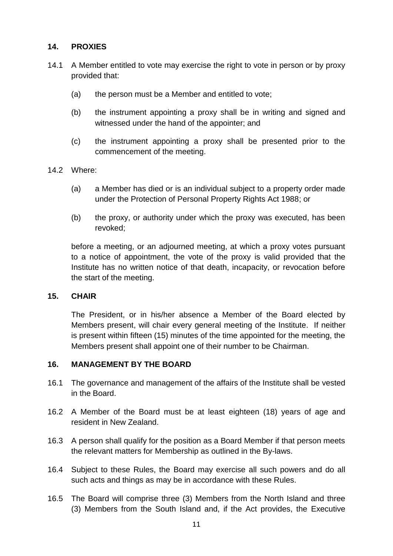## **14. PROXIES**

- 14.1 A Member entitled to vote may exercise the right to vote in person or by proxy provided that:
	- (a) the person must be a Member and entitled to vote;
	- (b) the instrument appointing a proxy shall be in writing and signed and witnessed under the hand of the appointer; and
	- (c) the instrument appointing a proxy shall be presented prior to the commencement of the meeting.
- 14.2 Where:
	- (a) a Member has died or is an individual subject to a property order made under the Protection of Personal Property Rights Act 1988; or
	- (b) the proxy, or authority under which the proxy was executed, has been revoked;

before a meeting, or an adjourned meeting, at which a proxy votes pursuant to a notice of appointment, the vote of the proxy is valid provided that the Institute has no written notice of that death, incapacity, or revocation before the start of the meeting.

#### **15. CHAIR**

The President, or in his/her absence a Member of the Board elected by Members present, will chair every general meeting of the Institute. If neither is present within fifteen (15) minutes of the time appointed for the meeting, the Members present shall appoint one of their number to be Chairman.

#### **16. MANAGEMENT BY THE BOARD**

- 16.1 The governance and management of the affairs of the Institute shall be vested in the Board.
- 16.2 A Member of the Board must be at least eighteen (18) years of age and resident in New Zealand.
- 16.3 A person shall qualify for the position as a Board Member if that person meets the relevant matters for Membership as outlined in the By-laws.
- 16.4 Subject to these Rules, the Board may exercise all such powers and do all such acts and things as may be in accordance with these Rules.
- 16.5 The Board will comprise three (3) Members from the North Island and three (3) Members from the South Island and, if the Act provides, the Executive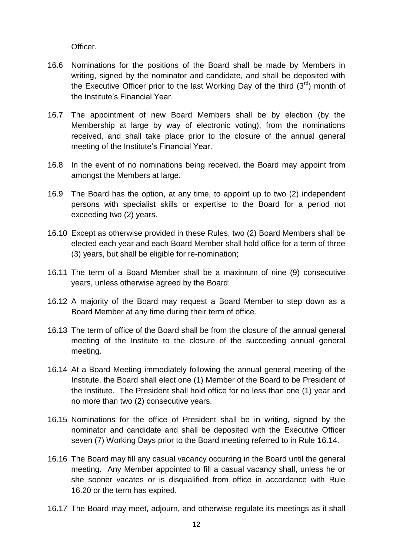Officer.

- 16.6 Nominations for the positions of the Board shall be made by Members in writing, signed by the nominator and candidate, and shall be deposited with the Executive Officer prior to the last Working Day of the third  $(3<sup>rd</sup>)$  month of the Institute's Financial Year.
- 16.7 The appointment of new Board Members shall be by election (by the Membership at large by way of electronic voting), from the nominations received, and shall take place prior to the closure of the annual general meeting of the Institute's Financial Year.
- 16.8 In the event of no nominations being received, the Board may appoint from amongst the Members at large.
- 16.9 The Board has the option, at any time, to appoint up to two (2) independent persons with specialist skills or expertise to the Board for a period not exceeding two (2) years.
- 16.10 Except as otherwise provided in these Rules, two (2) Board Members shall be elected each year and each Board Member shall hold office for a term of three (3) years, but shall be eligible for re-nomination;
- 16.11 The term of a Board Member shall be a maximum of nine (9) consecutive years, unless otherwise agreed by the Board;
- 16.12 A majority of the Board may request a Board Member to step down as a Board Member at any time during their term of office.
- 16.13 The term of office of the Board shall be from the closure of the annual general meeting of the Institute to the closure of the succeeding annual general meeting.
- 16.14 At a Board Meeting immediately following the annual general meeting of the Institute, the Board shall elect one (1) Member of the Board to be President of the Institute. The President shall hold office for no less than one (1) year and no more than two (2) consecutive years.
- 16.15 Nominations for the office of President shall be in writing, signed by the nominator and candidate and shall be deposited with the Executive Officer seven (7) Working Days prior to the Board meeting referred to in Rule 16.14.
- 16.16 The Board may fill any casual vacancy occurring in the Board until the general meeting. Any Member appointed to fill a casual vacancy shall, unless he or she sooner vacates or is disqualified from office in accordance with Rule 16.20 or the term has expired.
- 16.17 The Board may meet, adjourn, and otherwise regulate its meetings as it shall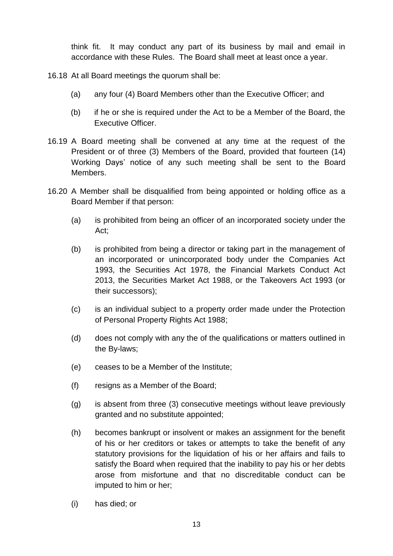think fit. It may conduct any part of its business by mail and email in accordance with these Rules. The Board shall meet at least once a year.

16.18 At all Board meetings the quorum shall be:

- (a) any four (4) Board Members other than the Executive Officer; and
- (b) if he or she is required under the Act to be a Member of the Board, the Executive Officer.
- 16.19 A Board meeting shall be convened at any time at the request of the President or of three (3) Members of the Board, provided that fourteen (14) Working Days' notice of any such meeting shall be sent to the Board Members.
- 16.20 A Member shall be disqualified from being appointed or holding office as a Board Member if that person:
	- (a) is prohibited from being an officer of an incorporated society under the Act;
	- (b) is prohibited from being a director or taking part in the management of an incorporated or unincorporated body under the Companies Act 1993, the Securities Act 1978, the Financial Markets Conduct Act 2013, the Securities Market Act 1988, or the Takeovers Act 1993 (or their successors);
	- (c) is an individual subject to a property order made under the Protection of Personal Property Rights Act 1988;
	- (d) does not comply with any the of the qualifications or matters outlined in the By-laws;
	- (e) ceases to be a Member of the Institute;
	- (f) resigns as a Member of the Board;
	- (g) is absent from three (3) consecutive meetings without leave previously granted and no substitute appointed;
	- (h) becomes bankrupt or insolvent or makes an assignment for the benefit of his or her creditors or takes or attempts to take the benefit of any statutory provisions for the liquidation of his or her affairs and fails to satisfy the Board when required that the inability to pay his or her debts arose from misfortune and that no discreditable conduct can be imputed to him or her;
	- (i) has died; or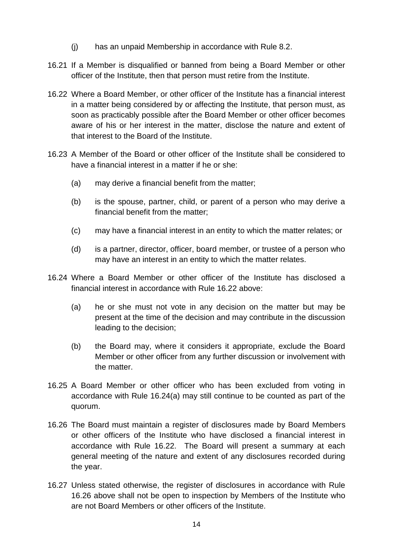- (j) has an unpaid Membership in accordance with Rule 8.2.
- 16.21 If a Member is disqualified or banned from being a Board Member or other officer of the Institute, then that person must retire from the Institute.
- 16.22 Where a Board Member, or other officer of the Institute has a financial interest in a matter being considered by or affecting the Institute, that person must, as soon as practicably possible after the Board Member or other officer becomes aware of his or her interest in the matter, disclose the nature and extent of that interest to the Board of the Institute.
- 16.23 A Member of the Board or other officer of the Institute shall be considered to have a financial interest in a matter if he or she:
	- (a) may derive a financial benefit from the matter;
	- (b) is the spouse, partner, child, or parent of a person who may derive a financial benefit from the matter;
	- (c) may have a financial interest in an entity to which the matter relates; or
	- (d) is a partner, director, officer, board member, or trustee of a person who may have an interest in an entity to which the matter relates.
- 16.24 Where a Board Member or other officer of the Institute has disclosed a financial interest in accordance with Rule 16.22 above:
	- (a) he or she must not vote in any decision on the matter but may be present at the time of the decision and may contribute in the discussion leading to the decision;
	- (b) the Board may, where it considers it appropriate, exclude the Board Member or other officer from any further discussion or involvement with the matter.
- 16.25 A Board Member or other officer who has been excluded from voting in accordance with Rule 16.24(a) may still continue to be counted as part of the quorum.
- 16.26 The Board must maintain a register of disclosures made by Board Members or other officers of the Institute who have disclosed a financial interest in accordance with Rule 16.22. The Board will present a summary at each general meeting of the nature and extent of any disclosures recorded during the year.
- 16.27 Unless stated otherwise, the register of disclosures in accordance with Rule 16.26 above shall not be open to inspection by Members of the Institute who are not Board Members or other officers of the Institute.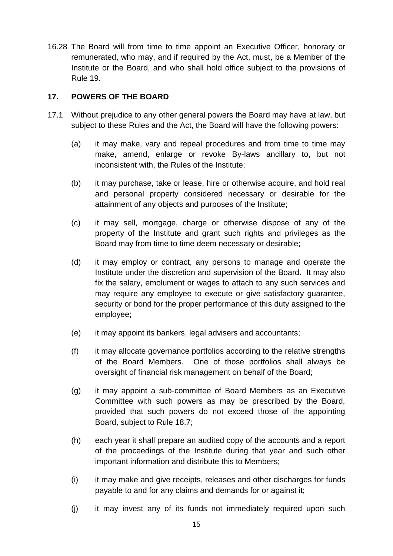16.28 The Board will from time to time appoint an Executive Officer, honorary or remunerated, who may, and if required by the Act, must, be a Member of the Institute or the Board, and who shall hold office subject to the provisions of Rule 19.

## **17. POWERS OF THE BOARD**

- 17.1 Without prejudice to any other general powers the Board may have at law, but subject to these Rules and the Act, the Board will have the following powers:
	- (a) it may make, vary and repeal procedures and from time to time may make, amend, enlarge or revoke By-laws ancillary to, but not inconsistent with, the Rules of the Institute;
	- (b) it may purchase, take or lease, hire or otherwise acquire, and hold real and personal property considered necessary or desirable for the attainment of any objects and purposes of the Institute;
	- (c) it may sell, mortgage, charge or otherwise dispose of any of the property of the Institute and grant such rights and privileges as the Board may from time to time deem necessary or desirable;
	- (d) it may employ or contract, any persons to manage and operate the Institute under the discretion and supervision of the Board. It may also fix the salary, emolument or wages to attach to any such services and may require any employee to execute or give satisfactory guarantee, security or bond for the proper performance of this duty assigned to the employee;
	- (e) it may appoint its bankers, legal advisers and accountants;
	- (f) it may allocate governance portfolios according to the relative strengths of the Board Members. One of those portfolios shall always be oversight of financial risk management on behalf of the Board;
	- (g) it may appoint a sub-committee of Board Members as an Executive Committee with such powers as may be prescribed by the Board, provided that such powers do not exceed those of the appointing Board, subject to Rule 18.7;
	- (h) each year it shall prepare an audited copy of the accounts and a report of the proceedings of the Institute during that year and such other important information and distribute this to Members;
	- (i) it may make and give receipts, releases and other discharges for funds payable to and for any claims and demands for or against it;
	- (j) it may invest any of its funds not immediately required upon such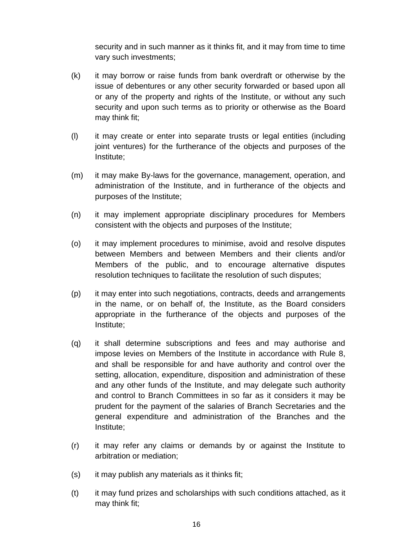security and in such manner as it thinks fit, and it may from time to time vary such investments;

- (k) it may borrow or raise funds from bank overdraft or otherwise by the issue of debentures or any other security forwarded or based upon all or any of the property and rights of the Institute, or without any such security and upon such terms as to priority or otherwise as the Board may think fit;
- (l) it may create or enter into separate trusts or legal entities (including joint ventures) for the furtherance of the objects and purposes of the Institute;
- (m) it may make By-laws for the governance, management, operation, and administration of the Institute, and in furtherance of the objects and purposes of the Institute;
- (n) it may implement appropriate disciplinary procedures for Members consistent with the objects and purposes of the Institute;
- (o) it may implement procedures to minimise, avoid and resolve disputes between Members and between Members and their clients and/or Members of the public, and to encourage alternative disputes resolution techniques to facilitate the resolution of such disputes;
- (p) it may enter into such negotiations, contracts, deeds and arrangements in the name, or on behalf of, the Institute, as the Board considers appropriate in the furtherance of the objects and purposes of the Institute;
- (q) it shall determine subscriptions and fees and may authorise and impose levies on Members of the Institute in accordance with Rule 8, and shall be responsible for and have authority and control over the setting, allocation, expenditure, disposition and administration of these and any other funds of the Institute, and may delegate such authority and control to Branch Committees in so far as it considers it may be prudent for the payment of the salaries of Branch Secretaries and the general expenditure and administration of the Branches and the Institute;
- (r) it may refer any claims or demands by or against the Institute to arbitration or mediation;
- (s) it may publish any materials as it thinks fit;
- (t) it may fund prizes and scholarships with such conditions attached, as it may think fit;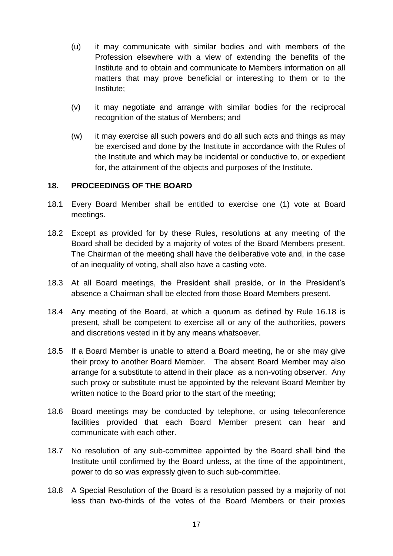- (u) it may communicate with similar bodies and with members of the Profession elsewhere with a view of extending the benefits of the Institute and to obtain and communicate to Members information on all matters that may prove beneficial or interesting to them or to the Institute;
- (v) it may negotiate and arrange with similar bodies for the reciprocal recognition of the status of Members; and
- (w) it may exercise all such powers and do all such acts and things as may be exercised and done by the Institute in accordance with the Rules of the Institute and which may be incidental or conductive to, or expedient for, the attainment of the objects and purposes of the Institute.

#### **18. PROCEEDINGS OF THE BOARD**

- 18.1 Every Board Member shall be entitled to exercise one (1) vote at Board meetings.
- 18.2 Except as provided for by these Rules, resolutions at any meeting of the Board shall be decided by a majority of votes of the Board Members present. The Chairman of the meeting shall have the deliberative vote and, in the case of an inequality of voting, shall also have a casting vote.
- 18.3 At all Board meetings, the President shall preside, or in the President's absence a Chairman shall be elected from those Board Members present.
- 18.4 Any meeting of the Board, at which a quorum as defined by Rule 16.18 is present, shall be competent to exercise all or any of the authorities, powers and discretions vested in it by any means whatsoever.
- 18.5 If a Board Member is unable to attend a Board meeting, he or she may give their proxy to another Board Member. The absent Board Member may also arrange for a substitute to attend in their place as a non-voting observer. Any such proxy or substitute must be appointed by the relevant Board Member by written notice to the Board prior to the start of the meeting;
- 18.6 Board meetings may be conducted by telephone, or using teleconference facilities provided that each Board Member present can hear and communicate with each other.
- 18.7 No resolution of any sub-committee appointed by the Board shall bind the Institute until confirmed by the Board unless, at the time of the appointment, power to do so was expressly given to such sub-committee.
- 18.8 A Special Resolution of the Board is a resolution passed by a majority of not less than two-thirds of the votes of the Board Members or their proxies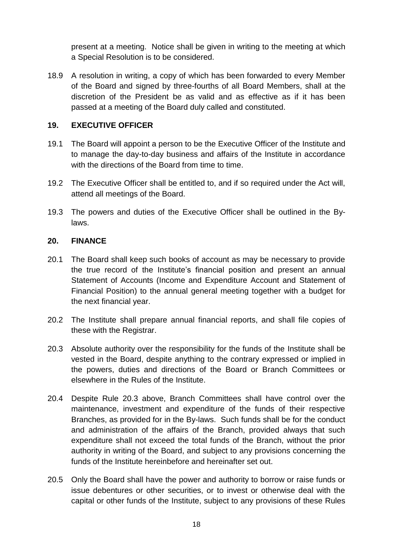present at a meeting. Notice shall be given in writing to the meeting at which a Special Resolution is to be considered.

18.9 A resolution in writing, a copy of which has been forwarded to every Member of the Board and signed by three-fourths of all Board Members, shall at the discretion of the President be as valid and as effective as if it has been passed at a meeting of the Board duly called and constituted.

#### **19. EXECUTIVE OFFICER**

- 19.1 The Board will appoint a person to be the Executive Officer of the Institute and to manage the day-to-day business and affairs of the Institute in accordance with the directions of the Board from time to time.
- 19.2 The Executive Officer shall be entitled to, and if so required under the Act will, attend all meetings of the Board.
- 19.3 The powers and duties of the Executive Officer shall be outlined in the Bylaws.

#### **20. FINANCE**

- 20.1 The Board shall keep such books of account as may be necessary to provide the true record of the Institute's financial position and present an annual Statement of Accounts (Income and Expenditure Account and Statement of Financial Position) to the annual general meeting together with a budget for the next financial year.
- 20.2 The Institute shall prepare annual financial reports, and shall file copies of these with the Registrar.
- 20.3 Absolute authority over the responsibility for the funds of the Institute shall be vested in the Board, despite anything to the contrary expressed or implied in the powers, duties and directions of the Board or Branch Committees or elsewhere in the Rules of the Institute.
- 20.4 Despite Rule 20.3 above, Branch Committees shall have control over the maintenance, investment and expenditure of the funds of their respective Branches, as provided for in the By-laws. Such funds shall be for the conduct and administration of the affairs of the Branch, provided always that such expenditure shall not exceed the total funds of the Branch, without the prior authority in writing of the Board, and subject to any provisions concerning the funds of the Institute hereinbefore and hereinafter set out.
- 20.5 Only the Board shall have the power and authority to borrow or raise funds or issue debentures or other securities, or to invest or otherwise deal with the capital or other funds of the Institute, subject to any provisions of these Rules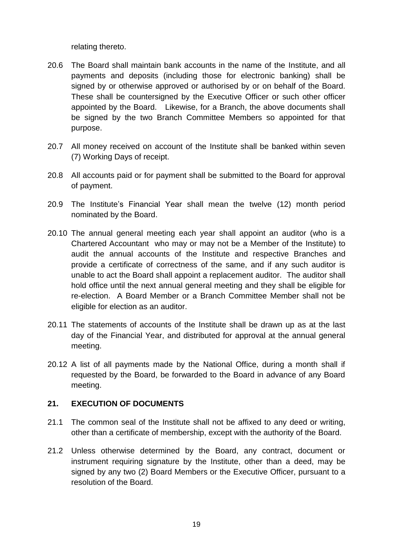relating thereto.

- 20.6 The Board shall maintain bank accounts in the name of the Institute, and all payments and deposits (including those for electronic banking) shall be signed by or otherwise approved or authorised by or on behalf of the Board. These shall be countersigned by the Executive Officer or such other officer appointed by the Board. Likewise, for a Branch, the above documents shall be signed by the two Branch Committee Members so appointed for that purpose.
- 20.7 All money received on account of the Institute shall be banked within seven (7) Working Days of receipt.
- 20.8 All accounts paid or for payment shall be submitted to the Board for approval of payment.
- 20.9 The Institute's Financial Year shall mean the twelve (12) month period nominated by the Board.
- 20.10 The annual general meeting each year shall appoint an auditor (who is a Chartered Accountant who may or may not be a Member of the Institute) to audit the annual accounts of the Institute and respective Branches and provide a certificate of correctness of the same, and if any such auditor is unable to act the Board shall appoint a replacement auditor. The auditor shall hold office until the next annual general meeting and they shall be eligible for re-election. A Board Member or a Branch Committee Member shall not be eligible for election as an auditor.
- 20.11 The statements of accounts of the Institute shall be drawn up as at the last day of the Financial Year, and distributed for approval at the annual general meeting.
- 20.12 A list of all payments made by the National Office, during a month shall if requested by the Board, be forwarded to the Board in advance of any Board meeting.

## **21. EXECUTION OF DOCUMENTS**

- 21.1 The common seal of the Institute shall not be affixed to any deed or writing, other than a certificate of membership, except with the authority of the Board.
- 21.2 Unless otherwise determined by the Board, any contract, document or instrument requiring signature by the Institute, other than a deed, may be signed by any two (2) Board Members or the Executive Officer, pursuant to a resolution of the Board.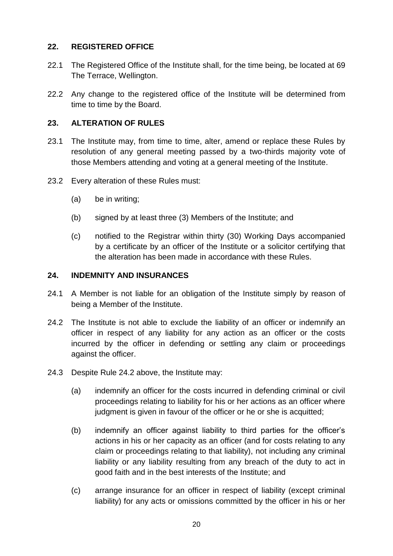## **22. REGISTERED OFFICE**

- 22.1 The Registered Office of the Institute shall, for the time being, be located at 69 The Terrace, Wellington.
- 22.2 Any change to the registered office of the Institute will be determined from time to time by the Board.

## **23. ALTERATION OF RULES**

- 23.1 The Institute may, from time to time, alter, amend or replace these Rules by resolution of any general meeting passed by a two-thirds majority vote of those Members attending and voting at a general meeting of the Institute.
- 23.2 Every alteration of these Rules must:
	- (a) be in writing;
	- (b) signed by at least three (3) Members of the Institute; and
	- (c) notified to the Registrar within thirty (30) Working Days accompanied by a certificate by an officer of the Institute or a solicitor certifying that the alteration has been made in accordance with these Rules.

#### **24. INDEMNITY AND INSURANCES**

- 24.1 A Member is not liable for an obligation of the Institute simply by reason of being a Member of the Institute.
- 24.2 The Institute is not able to exclude the liability of an officer or indemnify an officer in respect of any liability for any action as an officer or the costs incurred by the officer in defending or settling any claim or proceedings against the officer.
- 24.3 Despite Rule 24.2 above, the Institute may:
	- (a) indemnify an officer for the costs incurred in defending criminal or civil proceedings relating to liability for his or her actions as an officer where judgment is given in favour of the officer or he or she is acquitted;
	- (b) indemnify an officer against liability to third parties for the officer's actions in his or her capacity as an officer (and for costs relating to any claim or proceedings relating to that liability), not including any criminal liability or any liability resulting from any breach of the duty to act in good faith and in the best interests of the Institute; and
	- (c) arrange insurance for an officer in respect of liability (except criminal liability) for any acts or omissions committed by the officer in his or her